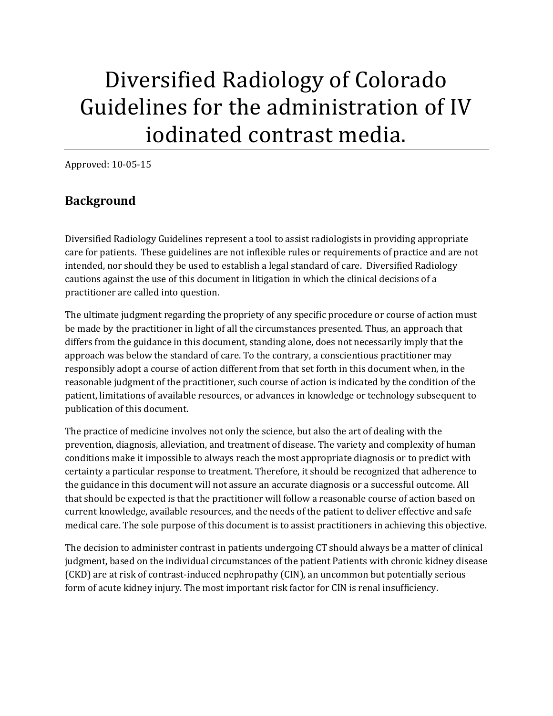# Diversified Radiology of Colorado Guidelines for the administration of IV iodinated contrast media.

Approved: 10-05-15

#### **Background**

Diversified Radiology Guidelines represent a tool to assist radiologists in providing appropriate care for patients. These guidelines are not inflexible rules or requirements of practice and are not intended, nor should they be used to establish a legal standard of care. Diversified Radiology cautions against the use of this document in litigation in which the clinical decisions of a practitioner are called into question.

The ultimate judgment regarding the propriety of any specific procedure or course of action must be made by the practitioner in light of all the circumstances presented. Thus, an approach that differs from the guidance in this document, standing alone, does not necessarily imply that the approach was below the standard of care. To the contrary, a conscientious practitioner may responsibly adopt a course of action different from that set forth in this document when, in the reasonable judgment of the practitioner, such course of action is indicated by the condition of the patient, limitations of available resources, or advances in knowledge or technology subsequent to publication of this document.

The practice of medicine involves not only the science, but also the art of dealing with the prevention, diagnosis, alleviation, and treatment of disease. The variety and complexity of human conditions make it impossible to always reach the most appropriate diagnosis or to predict with certainty a particular response to treatment. Therefore, it should be recognized that adherence to the guidance in this document will not assure an accurate diagnosis or a successful outcome. All that should be expected is that the practitioner will follow a reasonable course of action based on current knowledge, available resources, and the needs of the patient to deliver effective and safe medical care. The sole purpose of this document is to assist practitioners in achieving this objective.

The decision to administer contrast in patients undergoing CT should always be a matter of clinical judgment, based on the individual circumstances of the patient Patients with chronic kidney disease (CKD) are at risk of contrast-induced nephropathy (CIN), an uncommon but potentially serious form of acute kidney injury. The most important risk factor for CIN is renal insufficiency.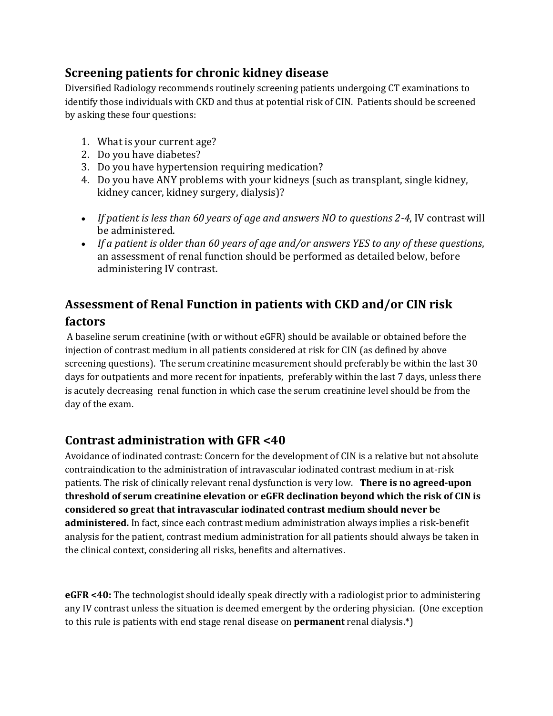#### **Screening patients for chronic kidney disease**

Diversified Radiology recommends routinely screening patients undergoing CT examinations to identify those individuals with CKD and thus at potential risk of CIN. Patients should be screened by asking these four questions:

- 1. What is your current age?
- 2. Do you have diabetes?
- 3. Do you have hypertension requiring medication?
- 4. Do you have ANY problems with your kidneys (such as transplant, single kidney, kidney cancer, kidney surgery, dialysis)?
- *If patient is less than 60 years of age and answers NO to questions 2-4*, IV contrast will be administered.
- *If a patient is older than 60 years of age and/or answers YES to any of these questions*, an assessment of renal function should be performed as detailed below, before administering IV contrast.

### **Assessment of Renal Function in patients with CKD and/or CIN risk factors**

A baseline serum creatinine (with or without eGFR) should be available or obtained before the injection of contrast medium in all patients considered at risk for CIN (as defined by above screening questions). The serum creatinine measurement should preferably be within the last 30 days for outpatients and more recent for inpatients, preferably within the last 7 days, unless there is acutely decreasing renal function in which case the serum creatinine level should be from the day of the exam.

#### **Contrast administration with GFR <40**

Avoidance of iodinated contrast: Concern for the development of CIN is a relative but not absolute contraindication to the administration of intravascular iodinated contrast medium in at-risk patients. The risk of clinically relevant renal dysfunction is very low. **There is no agreed-upon threshold of serum creatinine elevation or eGFR declination beyond which the risk of CIN is considered so great that intravascular iodinated contrast medium should never be administered.** In fact, since each contrast medium administration always implies a risk-benefit analysis for the patient, contrast medium administration for all patients should always be taken in the clinical context, considering all risks, benefits and alternatives.

**eGFR <40:** The technologist should ideally speak directly with a radiologist prior to administering any IV contrast unless the situation is deemed emergent by the ordering physician. (One exception to this rule is patients with end stage renal disease on **permanent** renal dialysis.\*)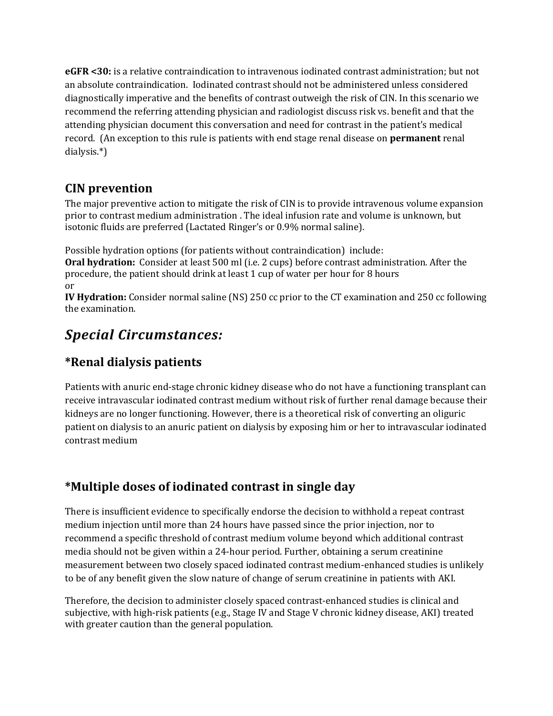**eGFR <30:** is a relative contraindication to intravenous iodinated contrast administration; but not an absolute contraindication. Iodinated contrast should not be administered unless considered diagnostically imperative and the benefits of contrast outweigh the risk of CIN. In this scenario we recommend the referring attending physician and radiologist discuss risk vs. benefit and that the attending physician document this conversation and need for contrast in the patient's medical record. (An exception to this rule is patients with end stage renal disease on **permanent** renal dialysis.\*)

#### **CIN prevention**

The major preventive action to mitigate the risk of CIN is to provide intravenous volume expansion prior to contrast medium administration . The ideal infusion rate and volume is unknown, but isotonic fluids are preferred (Lactated Ringer's or 0.9% normal saline).

Possible hydration options (for patients without contraindication) include:

**Oral hydration:** Consider at least 500 ml (i.e. 2 cups) before contrast administration. After the procedure, the patient should drink at least 1 cup of water per hour for 8 hours or

**IV Hydration:** Consider normal saline (NS) 250 cc prior to the CT examination and 250 cc following the examination.

## *Special Circumstances:*

### **\*Renal dialysis patients**

Patients with anuric end-stage chronic kidney disease who do not have a functioning transplant can receive intravascular iodinated contrast medium without risk of further renal damage because their kidneys are no longer functioning. However, there is a theoretical risk of converting an oliguric patient on dialysis to an anuric patient on dialysis by exposing him or her to intravascular iodinated contrast medium

#### **\*Multiple doses of iodinated contrast in single day**

There is insufficient evidence to specifically endorse the decision to withhold a repeat contrast medium injection until more than 24 hours have passed since the prior injection, nor to recommend a specific threshold of contrast medium volume beyond which additional contrast media should not be given within a 24-hour period. Further, obtaining a serum creatinine measurement between two closely spaced iodinated contrast medium-enhanced studies is unlikely to be of any benefit given the slow nature of change of serum creatinine in patients with AKI.

Therefore, the decision to administer closely spaced contrast-enhanced studies is clinical and subjective, with high-risk patients (e.g., Stage IV and Stage V chronic kidney disease, AKI) treated with greater caution than the general population.